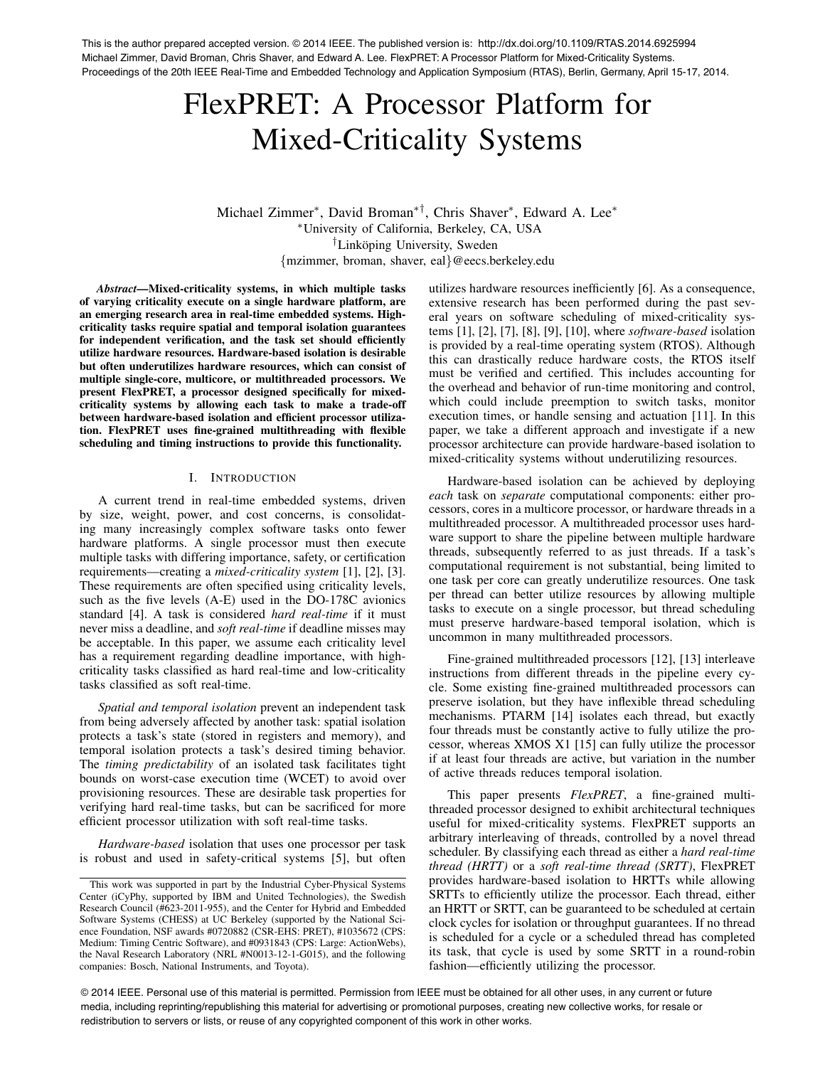This is the author prepared accepted version. © 2014 IEEE. The published version is: http://dx.doi.org/10.1109/RTAS.2014.6925994Michael Zimmer, David Broman, Chris Shaver, and Edward A. Lee. FlexPRET: A Processor Platform for Mixed-Criticality Systems. Proceedings of the 20th IEEE Real-Time and Embedded Technology and Application Symposium (RTAS), Berlin, Germany, April 15-17, 2014.

# FlexPRET: A Processor Platform for Mixed-Criticality Systems

Michael Zimmer<sup>\*</sup>, David Broman<sup>\*†</sup>, Chris Shaver<sup>\*</sup>, Edward A. Lee<sup>\*</sup> ⇤University of California, Berkeley, CA, USA <sup>†</sup>Linköping University, Sweden *{*mzimmer, broman, shaver, eal*}*@eecs.berkeley.edu

*Abstract*—Mixed-criticality systems, in which multiple tasks of varying criticality execute on a single hardware platform, are an emerging research area in real-time embedded systems. Highcriticality tasks require spatial and temporal isolation guarantees for independent verification, and the task set should efficiently utilize hardware resources. Hardware-based isolation is desirable but often underutilizes hardware resources, which can consist of multiple single-core, multicore, or multithreaded processors. We present FlexPRET, a processor designed specifically for mixedcriticality systems by allowing each task to make a trade-off between hardware-based isolation and efficient processor utilization. FlexPRET uses fine-grained multithreading with flexible scheduling and timing instructions to provide this functionality.

# I. INTRODUCTION

A current trend in real-time embedded systems, driven by size, weight, power, and cost concerns, is consolidating many increasingly complex software tasks onto fewer hardware platforms. A single processor must then execute multiple tasks with differing importance, safety, or certification requirements—creating a *mixed-criticality system* [1], [2], [3]. These requirements are often specified using criticality levels, such as the five levels (A-E) used in the DO-178C avionics standard [4]. A task is considered *hard real-time* if it must never miss a deadline, and *soft real-time* if deadline misses may be acceptable. In this paper, we assume each criticality level has a requirement regarding deadline importance, with highcriticality tasks classified as hard real-time and low-criticality tasks classified as soft real-time.

*Spatial and temporal isolation* prevent an independent task from being adversely affected by another task: spatial isolation protects a task's state (stored in registers and memory), and temporal isolation protects a task's desired timing behavior. The *timing predictability* of an isolated task facilitates tight bounds on worst-case execution time (WCET) to avoid over provisioning resources. These are desirable task properties for verifying hard real-time tasks, but can be sacrificed for more efficient processor utilization with soft real-time tasks.

*Hardware-based* isolation that uses one processor per task is robust and used in safety-critical systems [5], but often

utilizes hardware resources inefficiently [6]. As a consequence, extensive research has been performed during the past several years on software scheduling of mixed-criticality systems [1], [2], [7], [8], [9], [10], where *software-based* isolation is provided by a real-time operating system (RTOS). Although this can drastically reduce hardware costs, the RTOS itself must be verified and certified. This includes accounting for the overhead and behavior of run-time monitoring and control, which could include preemption to switch tasks, monitor execution times, or handle sensing and actuation [11]. In this paper, we take a different approach and investigate if a new processor architecture can provide hardware-based isolation to mixed-criticality systems without underutilizing resources.

Hardware-based isolation can be achieved by deploying *each* task on *separate* computational components: either processors, cores in a multicore processor, or hardware threads in a multithreaded processor. A multithreaded processor uses hardware support to share the pipeline between multiple hardware threads, subsequently referred to as just threads. If a task's computational requirement is not substantial, being limited to one task per core can greatly underutilize resources. One task per thread can better utilize resources by allowing multiple tasks to execute on a single processor, but thread scheduling must preserve hardware-based temporal isolation, which is uncommon in many multithreaded processors.

Fine-grained multithreaded processors [12], [13] interleave instructions from different threads in the pipeline every cycle. Some existing fine-grained multithreaded processors can preserve isolation, but they have inflexible thread scheduling mechanisms. PTARM [14] isolates each thread, but exactly four threads must be constantly active to fully utilize the processor, whereas XMOS X1 [15] can fully utilize the processor if at least four threads are active, but variation in the number of active threads reduces temporal isolation.

This paper presents *FlexPRET*, a fine-grained multithreaded processor designed to exhibit architectural techniques useful for mixed-criticality systems. FlexPRET supports an arbitrary interleaving of threads, controlled by a novel thread scheduler. By classifying each thread as either a *hard real-time thread (HRTT)* or a *soft real-time thread (SRTT)*, FlexPRET provides hardware-based isolation to HRTTs while allowing SRTTs to efficiently utilize the processor. Each thread, either an HRTT or SRTT, can be guaranteed to be scheduled at certain clock cycles for isolation or throughput guarantees. If no thread is scheduled for a cycle or a scheduled thread has completed its task, that cycle is used by some SRTT in a round-robin fashion—efficiently utilizing the processor.

© 2014 IEEE. Personal use of this material is permitted. Permission from IEEE must be obtained for all other uses, in any current or future media, including reprinting/republishing this material for advertising or promotional purposes, creating new collective works, for resale or redistribution to servers or lists, or reuse of any copyrighted component of this work in other works.

This work was supported in part by the Industrial Cyber-Physical Systems Center (iCyPhy, supported by IBM and United Technologies), the Swedish Research Council (#623-2011-955), and the Center for Hybrid and Embedded Software Systems (CHESS) at UC Berkeley (supported by the National Science Foundation, NSF awards #0720882 (CSR-EHS: PRET), #1035672 (CPS: Medium: Timing Centric Software), and #0931843 (CPS: Large: ActionWebs), the Naval Research Laboratory (NRL #N0013-12-1-G015), and the following companies: Bosch, National Instruments, and Toyota).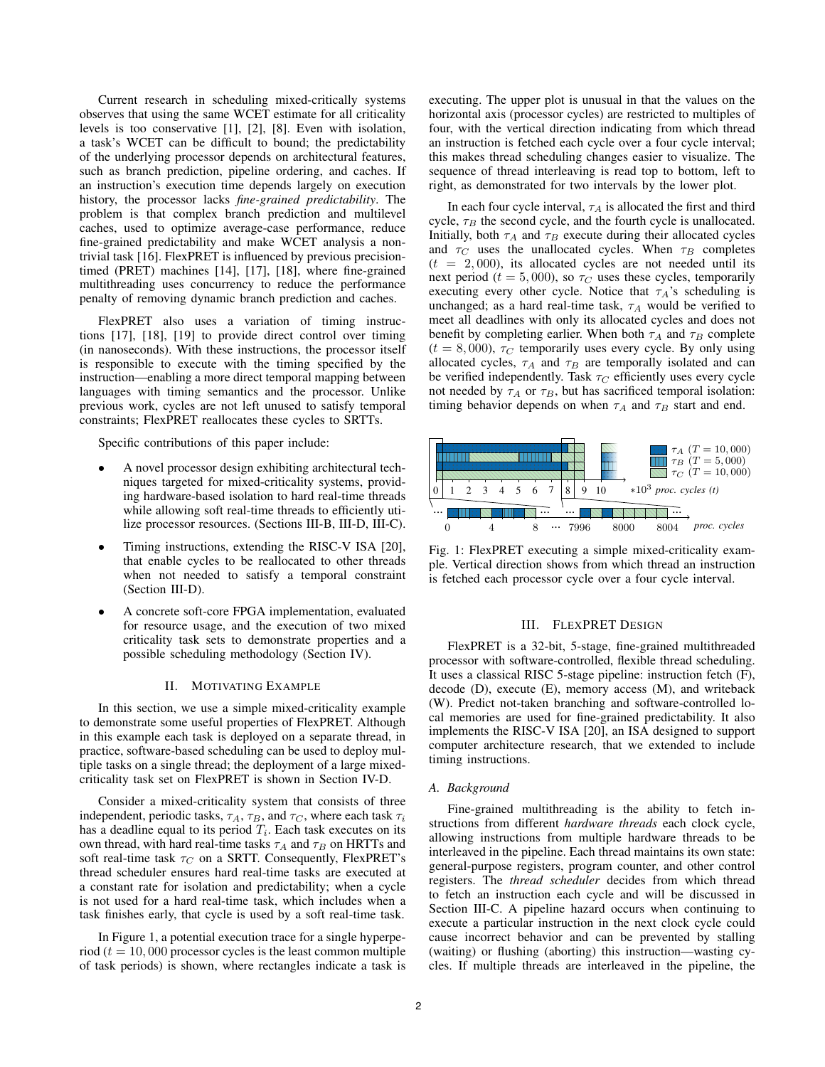Current research in scheduling mixed-critically systems observes that using the same WCET estimate for all criticality levels is too conservative [1], [2], [8]. Even with isolation, a task's WCET can be difficult to bound; the predictability of the underlying processor depends on architectural features, such as branch prediction, pipeline ordering, and caches. If an instruction's execution time depends largely on execution history, the processor lacks *fine-grained predictability*. The problem is that complex branch prediction and multilevel caches, used to optimize average-case performance, reduce fine-grained predictability and make WCET analysis a nontrivial task [16]. FlexPRET is influenced by previous precisiontimed (PRET) machines [14], [17], [18], where fine-grained multithreading uses concurrency to reduce the performance penalty of removing dynamic branch prediction and caches.

FlexPRET also uses a variation of timing instructions [17], [18], [19] to provide direct control over timing (in nanoseconds). With these instructions, the processor itself is responsible to execute with the timing specified by the instruction—enabling a more direct temporal mapping between languages with timing semantics and the processor. Unlike previous work, cycles are not left unused to satisfy temporal constraints; FlexPRET reallocates these cycles to SRTTs.

Specific contributions of this paper include:

- *•* A novel processor design exhibiting architectural techniques targeted for mixed-criticality systems, providing hardware-based isolation to hard real-time threads while allowing soft real-time threads to efficiently utilize processor resources. (Sections III-B, III-D, III-C).
- Timing instructions, extending the RISC-V ISA [20], that enable cycles to be reallocated to other threads when not needed to satisfy a temporal constraint (Section III-D).
- *•* A concrete soft-core FPGA implementation, evaluated for resource usage, and the execution of two mixed criticality task sets to demonstrate properties and a possible scheduling methodology (Section IV).

# II. MOTIVATING EXAMPLE

In this section, we use a simple mixed-criticality example to demonstrate some useful properties of FlexPRET. Although in this example each task is deployed on a separate thread, in practice, software-based scheduling can be used to deploy multiple tasks on a single thread; the deployment of a large mixedcriticality task set on FlexPRET is shown in Section IV-D.

Consider a mixed-criticality system that consists of three independent, periodic tasks,  $\tau_A$ ,  $\tau_B$ , and  $\tau_C$ , where each task  $\tau_i$ has a deadline equal to its period  $T_i$ . Each task executes on its own thread, with hard real-time tasks  $\tau_A$  and  $\tau_B$  on HRTTs and soft real-time task  $\tau_C$  on a SRTT. Consequently, FlexPRET's thread scheduler ensures hard real-time tasks are executed at a constant rate for isolation and predictability; when a cycle is not used for a hard real-time task, which includes when a task finishes early, that cycle is used by a soft real-time task.

In Figure 1, a potential execution trace for a single hyperperiod ( $t = 10,000$  processor cycles is the least common multiple of task periods) is shown, where rectangles indicate a task is executing. The upper plot is unusual in that the values on the horizontal axis (processor cycles) are restricted to multiples of four, with the vertical direction indicating from which thread an instruction is fetched each cycle over a four cycle interval; this makes thread scheduling changes easier to visualize. The sequence of thread interleaving is read top to bottom, left to right, as demonstrated for two intervals by the lower plot.

In each four cycle interval,  $\tau_A$  is allocated the first and third cycle,  $\tau_B$  the second cycle, and the fourth cycle is unallocated. Initially, both  $\tau_A$  and  $\tau_B$  execute during their allocated cycles and  $\tau_C$  uses the unallocated cycles. When  $\tau_B$  completes  $(t = 2,000)$ , its allocated cycles are not needed until its next period ( $t = 5,000$ ), so  $\tau_C$  uses these cycles, temporarily executing every other cycle. Notice that  $\tau_A$ 's scheduling is unchanged; as a hard real-time task,  $\tau_A$  would be verified to meet all deadlines with only its allocated cycles and does not benefit by completing earlier. When both  $\tau_A$  and  $\tau_B$  complete  $(t = 8,000)$ ,  $\tau_C$  temporarily uses every cycle. By only using allocated cycles,  $\tau_A$  and  $\tau_B$  are temporally isolated and can be verified independently. Task  $\tau_C$  efficiently uses every cycle not needed by  $\tau_A$  or  $\tau_B$ , but has sacrificed temporal isolation: timing behavior depends on when  $\tau_A$  and  $\tau_B$  start and end.



Fig. 1: FlexPRET executing a simple mixed-criticality example. Vertical direction shows from which thread an instruction is fetched each processor cycle over a four cycle interval.

#### III. FLEXPRET DESIGN

FlexPRET is a 32-bit, 5-stage, fine-grained multithreaded processor with software-controlled, flexible thread scheduling. It uses a classical RISC 5-stage pipeline: instruction fetch (F), decode (D), execute (E), memory access (M), and writeback (W). Predict not-taken branching and software-controlled local memories are used for fine-grained predictability. It also implements the RISC-V ISA [20], an ISA designed to support computer architecture research, that we extended to include timing instructions.

#### *A. Background*

Fine-grained multithreading is the ability to fetch instructions from different *hardware threads* each clock cycle, allowing instructions from multiple hardware threads to be interleaved in the pipeline. Each thread maintains its own state: general-purpose registers, program counter, and other control registers. The *thread scheduler* decides from which thread to fetch an instruction each cycle and will be discussed in Section III-C. A pipeline hazard occurs when continuing to execute a particular instruction in the next clock cycle could cause incorrect behavior and can be prevented by stalling (waiting) or flushing (aborting) this instruction—wasting cycles. If multiple threads are interleaved in the pipeline, the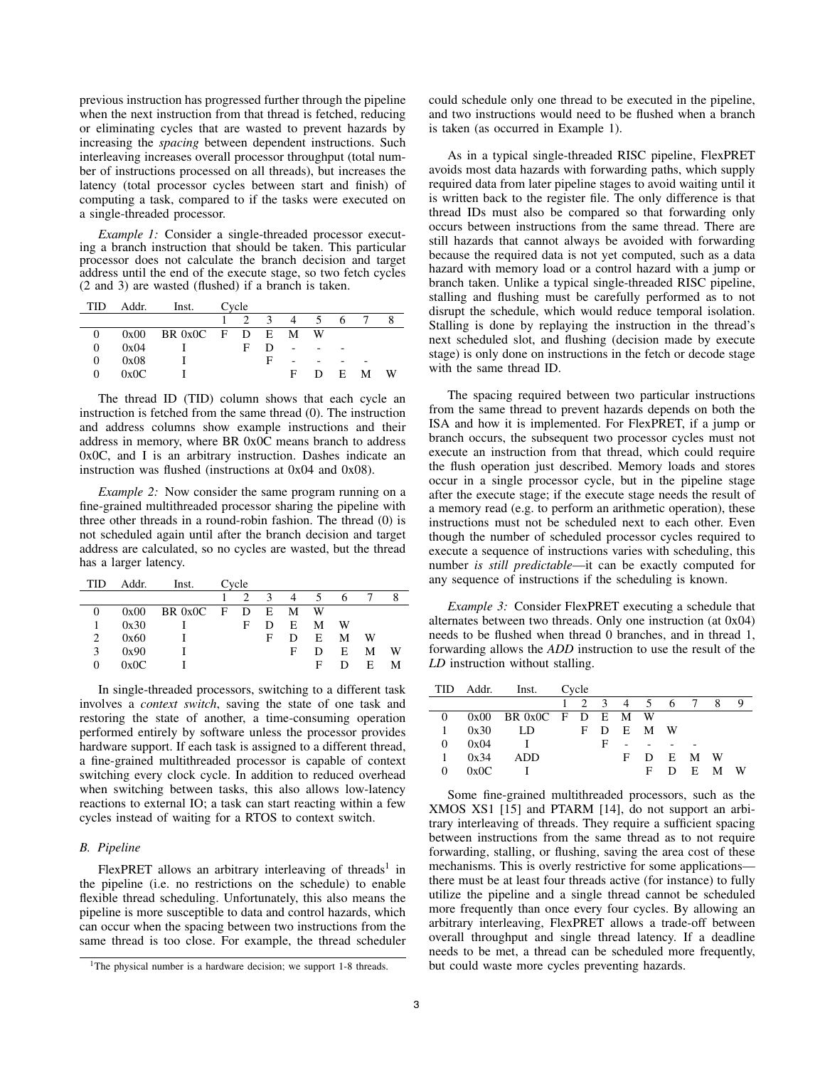previous instruction has progressed further through the pipeline when the next instruction from that thread is fetched, reducing or eliminating cycles that are wasted to prevent hazards by increasing the *spacing* between dependent instructions. Such interleaving increases overall processor throughput (total number of instructions processed on all threads), but increases the latency (total processor cycles between start and finish) of computing a task, compared to if the tasks were executed on a single-threaded processor.

*Example 1:* Consider a single-threaded processor executing a branch instruction that should be taken. This particular processor does not calculate the branch decision and target address until the end of the execute stage, so two fetch cycles (2 and 3) are wasted (flushed) if a branch is taken.

| TID      | Addr. | Inst.                    | Cycle |                |               |   |          |     |   |
|----------|-------|--------------------------|-------|----------------|---------------|---|----------|-----|---|
|          |       |                          |       | $\overline{2}$ | $\mathcal{E}$ |   | 4 5      | 6   |   |
| $^{(1)}$ |       | $0x00$ BR $0x0C$ F D E M |       |                |               |   | <b>W</b> |     |   |
| 0        | 0x04  |                          |       | F              | Ð             |   |          | -   |   |
| 0        | 0x08  |                          |       |                | F             |   |          |     |   |
| 0        | 0x0C  |                          |       |                |               | Е | D        | E M | W |

The thread ID (TID) column shows that each cycle an instruction is fetched from the same thread (0). The instruction and address columns show example instructions and their address in memory, where BR 0x0C means branch to address 0x0C, and I is an arbitrary instruction. Dashes indicate an instruction was flushed (instructions at 0x04 and 0x08).

*Example 2:* Now consider the same program running on a fine-grained multithreaded processor sharing the pipeline with three other threads in a round-robin fashion. The thread (0) is not scheduled again until after the branch decision and target address are calculated, so no cycles are wasted, but the thread has a larger latency.

| TID      | Addr. | Inst.       | Cycle   |               |    |   |   |    |   |
|----------|-------|-------------|---------|---------------|----|---|---|----|---|
|          |       |             | $2^{1}$ | $\mathcal{R}$ | 4  | 5 | 6 |    |   |
| $^{(1)}$ | 0x00  | BR 0x0C F D |         | E             | М  | W |   |    |   |
|          | 0x30  |             | F       | D             | E. | M | W |    |   |
| 2        | 0x60  |             |         | F             | D  | E | М | W  |   |
| 3        | 0x90  |             |         |               | F  | D | E | М  | W |
| 0        | 0x0C  |             |         |               |    | F | D | F. | М |

In single-threaded processors, switching to a different task involves a *context switch*, saving the state of one task and restoring the state of another, a time-consuming operation performed entirely by software unless the processor provides hardware support. If each task is assigned to a different thread, a fine-grained multithreaded processor is capable of context switching every clock cycle. In addition to reduced overhead when switching between tasks, this also allows low-latency reactions to external IO; a task can start reacting within a few cycles instead of waiting for a RTOS to context switch.

# *B. Pipeline*

FlexPRET allows an arbitrary interleaving of threads<sup>1</sup> in the pipeline (i.e. no restrictions on the schedule) to enable flexible thread scheduling. Unfortunately, this also means the pipeline is more susceptible to data and control hazards, which can occur when the spacing between two instructions from the same thread is too close. For example, the thread scheduler could schedule only one thread to be executed in the pipeline, and two instructions would need to be flushed when a branch is taken (as occurred in Example 1).

As in a typical single-threaded RISC pipeline, FlexPRET avoids most data hazards with forwarding paths, which supply required data from later pipeline stages to avoid waiting until it is written back to the register file. The only difference is that thread IDs must also be compared so that forwarding only occurs between instructions from the same thread. There are still hazards that cannot always be avoided with forwarding because the required data is not yet computed, such as a data hazard with memory load or a control hazard with a jump or branch taken. Unlike a typical single-threaded RISC pipeline, stalling and flushing must be carefully performed as to not disrupt the schedule, which would reduce temporal isolation. Stalling is done by replaying the instruction in the thread's next scheduled slot, and flushing (decision made by execute stage) is only done on instructions in the fetch or decode stage with the same thread ID.

The spacing required between two particular instructions from the same thread to prevent hazards depends on both the ISA and how it is implemented. For FlexPRET, if a jump or branch occurs, the subsequent two processor cycles must not execute an instruction from that thread, which could require the flush operation just described. Memory loads and stores occur in a single processor cycle, but in the pipeline stage after the execute stage; if the execute stage needs the result of a memory read (e.g. to perform an arithmetic operation), these instructions must not be scheduled next to each other. Even though the number of scheduled processor cycles required to execute a sequence of instructions varies with scheduling, this number *is still predictable*—it can be exactly computed for any sequence of instructions if the scheduling is known.

*Example 3:* Consider FlexPRET executing a schedule that alternates between two threads. Only one instruction (at 0x04) needs to be flushed when thread 0 branches, and in thread 1, forwarding allows the *ADD* instruction to use the result of the *LD* instruction without stalling.

| <b>TID</b> | Addr. | Inst.                      | Cycle |    |   |    |               |         |       |   |    |
|------------|-------|----------------------------|-------|----|---|----|---------------|---------|-------|---|----|
|            |       |                            |       |    |   |    | 1 2 3 4 5 6 7 |         |       | 8 | -9 |
| 0          |       | $0x00$ BR $0x0C$ F D E M W |       |    |   |    |               |         |       |   |    |
| 1          | 0x30  | - LD                       |       | F. |   |    | DEMW          |         |       |   |    |
| 0          | 0x04  |                            |       |    | F |    |               |         |       |   |    |
| 1          | 0x34  | ADD                        |       |    |   | F. |               | D E M W |       |   |    |
| 0          | 0x0C  |                            |       |    |   |    | E             | D       | - E - | М | W  |

Some fine-grained multithreaded processors, such as the XMOS XS1 [15] and PTARM [14], do not support an arbitrary interleaving of threads. They require a sufficient spacing between instructions from the same thread as to not require forwarding, stalling, or flushing, saving the area cost of these mechanisms. This is overly restrictive for some applications there must be at least four threads active (for instance) to fully utilize the pipeline and a single thread cannot be scheduled more frequently than once every four cycles. By allowing an arbitrary interleaving, FlexPRET allows a trade-off between overall throughput and single thread latency. If a deadline needs to be met, a thread can be scheduled more frequently, but could waste more cycles preventing hazards.

<sup>&</sup>lt;sup>1</sup>The physical number is a hardware decision; we support 1-8 threads.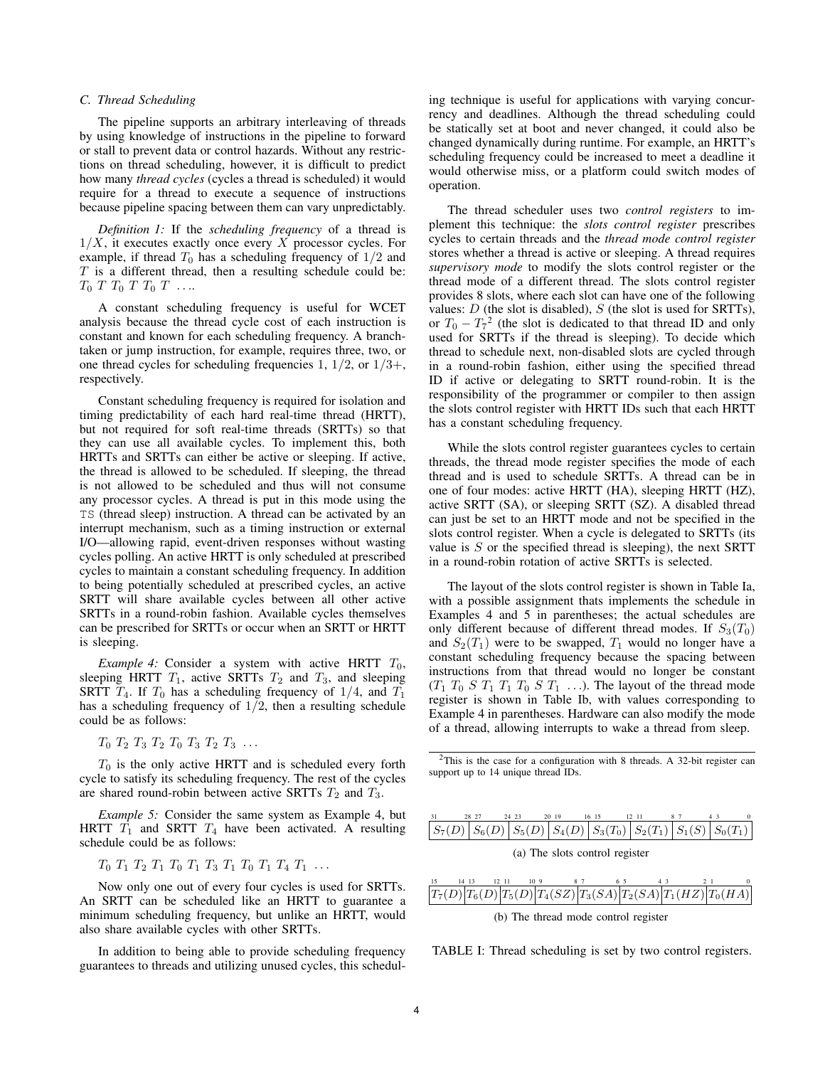# *C. Thread Scheduling*

The pipeline supports an arbitrary interleaving of threads by using knowledge of instructions in the pipeline to forward or stall to prevent data or control hazards. Without any restrictions on thread scheduling, however, it is difficult to predict how many *thread cycles* (cycles a thread is scheduled) it would require for a thread to execute a sequence of instructions because pipeline spacing between them can vary unpredictably.

*Definition 1:* If the *scheduling frequency* of a thread is 1*/X*, it executes exactly once every *X* processor cycles. For example, if thread  $T_0$  has a scheduling frequency of  $1/2$  and *T* is a different thread, then a resulting schedule could be: *T*<sup>0</sup> *T T*<sup>0</sup> *T T*<sup>0</sup> *T ...*.

A constant scheduling frequency is useful for WCET analysis because the thread cycle cost of each instruction is constant and known for each scheduling frequency. A branchtaken or jump instruction, for example, requires three, two, or one thread cycles for scheduling frequencies 1, 1*/*2, or 1*/*3+, respectively.

Constant scheduling frequency is required for isolation and timing predictability of each hard real-time thread (HRTT), but not required for soft real-time threads (SRTTs) so that they can use all available cycles. To implement this, both HRTTs and SRTTs can either be active or sleeping. If active, the thread is allowed to be scheduled. If sleeping, the thread is not allowed to be scheduled and thus will not consume any processor cycles. A thread is put in this mode using the TS (thread sleep) instruction. A thread can be activated by an interrupt mechanism, such as a timing instruction or external I/O—allowing rapid, event-driven responses without wasting cycles polling. An active HRTT is only scheduled at prescribed cycles to maintain a constant scheduling frequency. In addition to being potentially scheduled at prescribed cycles, an active SRTT will share available cycles between all other active SRTTs in a round-robin fashion. Available cycles themselves can be prescribed for SRTTs or occur when an SRTT or HRTT is sleeping.

*Example 4:* Consider a system with active HRTT  $T_0$ , sleeping HRTT  $T_1$ , active SRTTs  $T_2$  and  $T_3$ , and sleeping SRTT  $T_4$ . If  $T_0$  has a scheduling frequency of  $1/4$ , and  $T_1$ has a scheduling frequency of 1*/*2, then a resulting schedule could be as follows:

*T*<sup>0</sup> *T*<sup>2</sup> *T*<sup>3</sup> *T*<sup>2</sup> *T*<sup>0</sup> *T*<sup>3</sup> *T*<sup>2</sup> *T*<sup>3</sup> *...*

 $T_0$  is the only active HRTT and is scheduled every forth cycle to satisfy its scheduling frequency. The rest of the cycles are shared round-robin between active SRTTs  $T_2$  and  $T_3$ .

*Example 5:* Consider the same system as Example 4, but HRTT  $T_1$  and SRTT  $T_4$  have been activated. A resulting schedule could be as follows:

*T*<sup>0</sup> *T*<sup>1</sup> *T*<sup>2</sup> *T*<sup>1</sup> *T*<sup>0</sup> *T*<sup>1</sup> *T*<sup>3</sup> *T*<sup>1</sup> *T*<sup>0</sup> *T*<sup>1</sup> *T*<sup>4</sup> *T*<sup>1</sup> *...*

Now only one out of every four cycles is used for SRTTs. An SRTT can be scheduled like an HRTT to guarantee a minimum scheduling frequency, but unlike an HRTT, would also share available cycles with other SRTTs.

In addition to being able to provide scheduling frequency guarantees to threads and utilizing unused cycles, this scheduling technique is useful for applications with varying concurrency and deadlines. Although the thread scheduling could be statically set at boot and never changed, it could also be changed dynamically during runtime. For example, an HRTT's scheduling frequency could be increased to meet a deadline it would otherwise miss, or a platform could switch modes of operation.

The thread scheduler uses two *control registers* to implement this technique: the *slots control register* prescribes cycles to certain threads and the *thread mode control register* stores whether a thread is active or sleeping. A thread requires *supervisory mode* to modify the slots control register or the thread mode of a different thread. The slots control register provides 8 slots, where each slot can have one of the following values: *D* (the slot is disabled), *S* (the slot is used for SRTTs), or  $T_0 - T_7^2$  (the slot is dedicated to that thread ID and only used for SRTTs if the thread is sleeping). To decide which thread to schedule next, non-disabled slots are cycled through in a round-robin fashion, either using the specified thread ID if active or delegating to SRTT round-robin. It is the responsibility of the programmer or compiler to then assign the slots control register with HRTT IDs such that each HRTT has a constant scheduling frequency.

While the slots control register guarantees cycles to certain threads, the thread mode register specifies the mode of each thread and is used to schedule SRTTs. A thread can be in one of four modes: active HRTT (HA), sleeping HRTT (HZ), active SRTT (SA), or sleeping SRTT (SZ). A disabled thread can just be set to an HRTT mode and not be specified in the slots control register. When a cycle is delegated to SRTTs (its value is *S* or the specified thread is sleeping), the next SRTT in a round-robin rotation of active SRTTs is selected.

The layout of the slots control register is shown in Table Ia, with a possible assignment thats implements the schedule in Examples 4 and 5 in parentheses; the actual schedules are only different because of different thread modes. If  $S_3(T_0)$ and  $S_2(T_1)$  were to be swapped,  $T_1$  would no longer have a constant scheduling frequency because the spacing between instructions from that thread would no longer be constant  $(T_1 T_0 S T_1 T_1 T_0 S T_1 ...)$ . The layout of the thread mode register is shown in Table Ib, with values corresponding to Example 4 in parentheses. Hardware can also modify the mode of a thread, allowing interrupts to wake a thread from sleep.

<sup>2</sup>This is the case for a configuration with 8 threads. A 32-bit register can support up to 14 unique thread IDs.



 $\frac{1}{T_7(D)}$   $\frac{T_6(D)}{T_5(D)}$   $\frac{T_4(SZ)}{T_3(SA)}$   $\frac{T_2(SA)}{T_1(HZ)}$   $\frac{T_0(HA)}{T_0(HA)}$ (b) The thread mode control register

TABLE I: Thread scheduling is set by two control registers.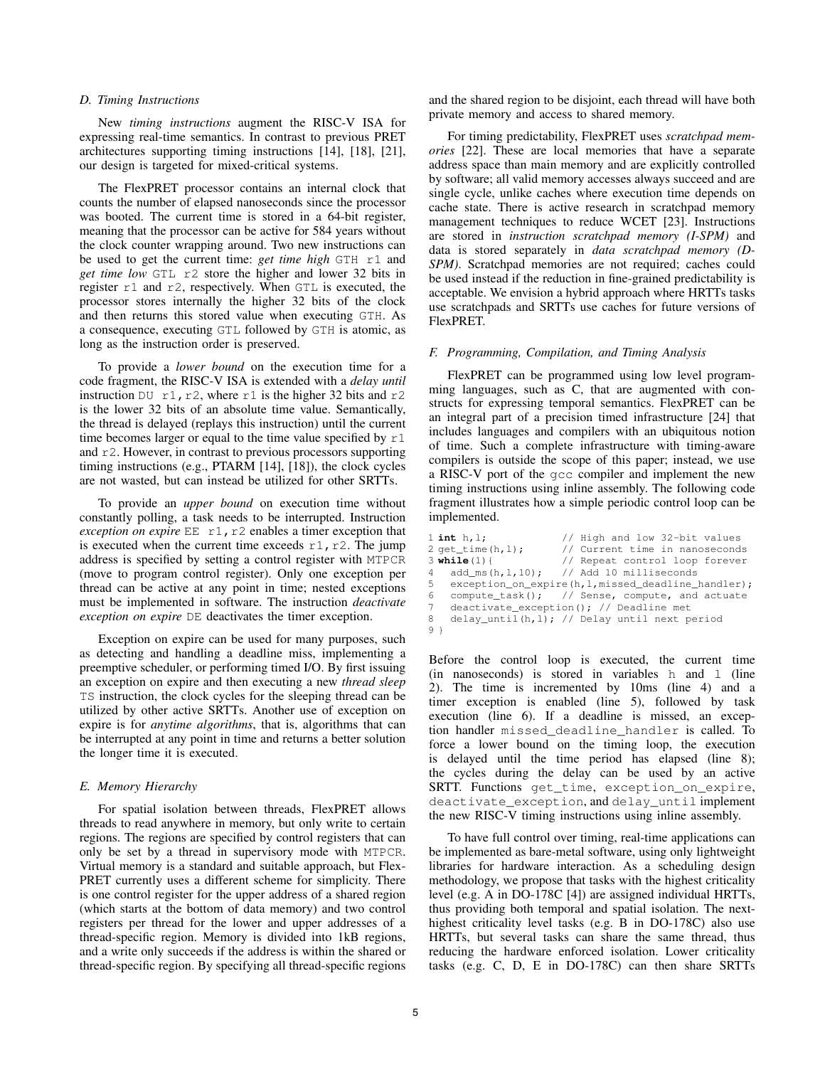# *D. Timing Instructions*

New *timing instructions* augment the RISC-V ISA for expressing real-time semantics. In contrast to previous PRET architectures supporting timing instructions [14], [18], [21], our design is targeted for mixed-critical systems.

The FlexPRET processor contains an internal clock that counts the number of elapsed nanoseconds since the processor was booted. The current time is stored in a 64-bit register, meaning that the processor can be active for 584 years without the clock counter wrapping around. Two new instructions can be used to get the current time: *get time high* GTH r1 and *get time low* GTL r2 store the higher and lower 32 bits in register r1 and r2, respectively. When GTL is executed, the processor stores internally the higher 32 bits of the clock and then returns this stored value when executing GTH. As a consequence, executing GTL followed by GTH is atomic, as long as the instruction order is preserved.

To provide a *lower bound* on the execution time for a code fragment, the RISC-V ISA is extended with a *delay until* instruction DU r1, r2, where r1 is the higher 32 bits and r2 is the lower 32 bits of an absolute time value. Semantically, the thread is delayed (replays this instruction) until the current time becomes larger or equal to the time value specified by  $r1$ and  $r2$ . However, in contrast to previous processors supporting timing instructions (e.g., PTARM  $[14]$ ,  $[18]$ ), the clock cycles are not wasted, but can instead be utilized for other SRTTs.

To provide an *upper bound* on execution time without constantly polling, a task needs to be interrupted. Instruction *exception on expire* EE r1, r2 enables a timer exception that is executed when the current time exceeds  $r1$ ,  $r2$ . The jump address is specified by setting a control register with MTPCR (move to program control register). Only one exception per thread can be active at any point in time; nested exceptions must be implemented in software. The instruction *deactivate exception on expire* DE deactivates the timer exception.

Exception on expire can be used for many purposes, such as detecting and handling a deadline miss, implementing a preemptive scheduler, or performing timed I/O. By first issuing an exception on expire and then executing a new *thread sleep* TS instruction, the clock cycles for the sleeping thread can be utilized by other active SRTTs. Another use of exception on expire is for *anytime algorithms*, that is, algorithms that can be interrupted at any point in time and returns a better solution the longer time it is executed.

# *E. Memory Hierarchy*

For spatial isolation between threads, FlexPRET allows threads to read anywhere in memory, but only write to certain regions. The regions are specified by control registers that can only be set by a thread in supervisory mode with MTPCR. Virtual memory is a standard and suitable approach, but Flex-PRET currently uses a different scheme for simplicity. There is one control register for the upper address of a shared region (which starts at the bottom of data memory) and two control registers per thread for the lower and upper addresses of a thread-specific region. Memory is divided into 1kB regions, and a write only succeeds if the address is within the shared or thread-specific region. By specifying all thread-specific regions and the shared region to be disjoint, each thread will have both private memory and access to shared memory.

For timing predictability, FlexPRET uses *scratchpad memories* [22]. These are local memories that have a separate address space than main memory and are explicitly controlled by software; all valid memory accesses always succeed and are single cycle, unlike caches where execution time depends on cache state. There is active research in scratchpad memory management techniques to reduce WCET [23]. Instructions are stored in *instruction scratchpad memory (I-SPM)* and data is stored separately in *data scratchpad memory (D-SPM)*. Scratchpad memories are not required; caches could be used instead if the reduction in fine-grained predictability is acceptable. We envision a hybrid approach where HRTTs tasks use scratchpads and SRTTs use caches for future versions of FlexPRET.

# *F. Programming, Compilation, and Timing Analysis*

FlexPRET can be programmed using low level programming languages, such as C, that are augmented with constructs for expressing temporal semantics. FlexPRET can be an integral part of a precision timed infrastructure [24] that includes languages and compilers with an ubiquitous notion of time. Such a complete infrastructure with timing-aware compilers is outside the scope of this paper; instead, we use a RISC-V port of the gcc compiler and implement the new timing instructions using inline assembly. The following code fragment illustrates how a simple periodic control loop can be implemented.

```
1 int h,l; // High and low 32-bit values
2 get_time(h, 1); // Current time in nanoseconds
3 while(1){ // Repeat control loop forever
4 add_ms(h, 1, 10); // Add 10 milliseconds<br>5 exception on expire(h, l, missed deadline)
   exception_on_expire(h,l,missed_deadline_handler);
6 compute_task(); // Sense, compute, and actuate
7 deactivate_exception(); // Deadline met
8 delay_until(h,l); // Delay until next period
9<sup>1</sup>
```
Before the control loop is executed, the current time (in nanoseconds) is stored in variables h and l (line 2). The time is incremented by 10ms (line 4) and a timer exception is enabled (line 5), followed by task execution (line 6). If a deadline is missed, an exception handler missed\_deadline\_handler is called. To force a lower bound on the timing loop, the execution is delayed until the time period has elapsed (line 8); the cycles during the delay can be used by an active SRTT. Functions get\_time, exception\_on\_expire, deactivate\_exception, and delay\_until implement the new RISC-V timing instructions using inline assembly.

To have full control over timing, real-time applications can be implemented as bare-metal software, using only lightweight libraries for hardware interaction. As a scheduling design methodology, we propose that tasks with the highest criticality level (e.g. A in DO-178C [4]) are assigned individual HRTTs, thus providing both temporal and spatial isolation. The nexthighest criticality level tasks (e.g. B in DO-178C) also use HRTTs, but several tasks can share the same thread, thus reducing the hardware enforced isolation. Lower criticality tasks (e.g. C, D, E in DO-178C) can then share SRTTs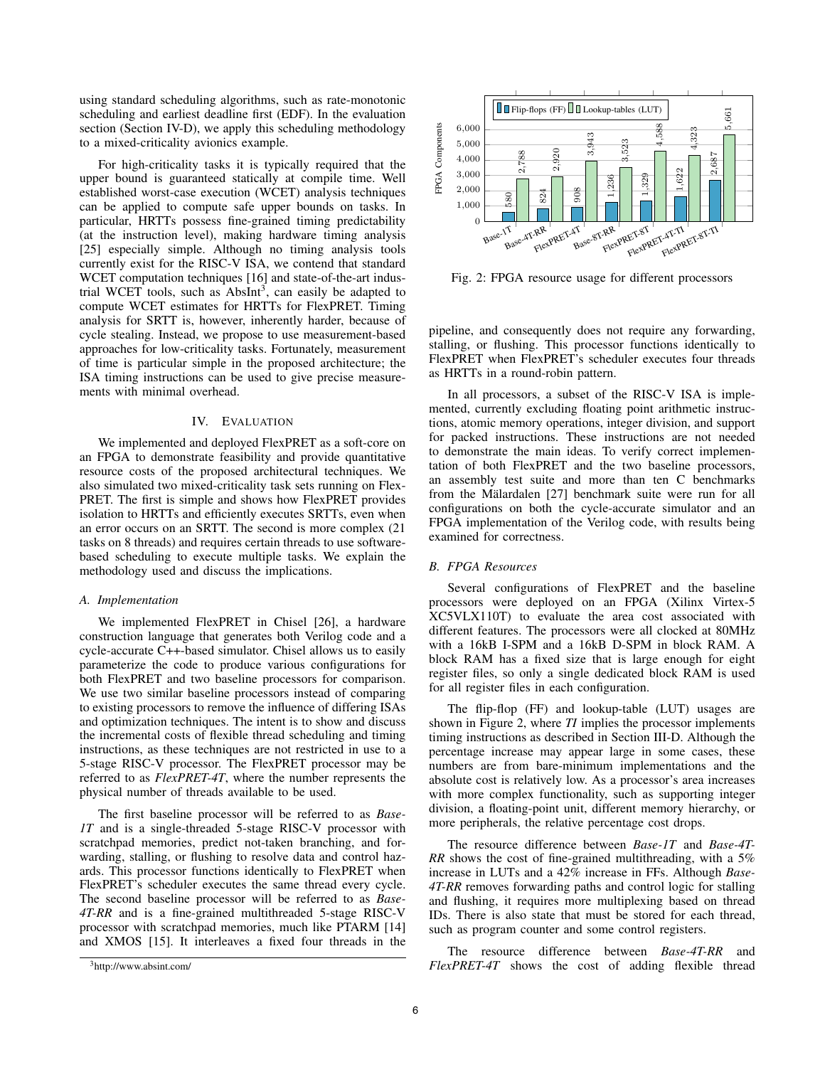using standard scheduling algorithms, such as rate-monotonic scheduling and earliest deadline first (EDF). In the evaluation section (Section IV-D), we apply this scheduling methodology to a mixed-criticality avionics example.

For high-criticality tasks it is typically required that the upper bound is guaranteed statically at compile time. Well established worst-case execution (WCET) analysis techniques can be applied to compute safe upper bounds on tasks. In particular, HRTTs possess fine-grained timing predictability (at the instruction level), making hardware timing analysis [25] especially simple. Although no timing analysis tools currently exist for the RISC-V ISA, we contend that standard WCET computation techniques [16] and state-of-the-art industrial WCET tools, such as  $\text{AbsInt}^3$ , can easily be adapted to compute WCET estimates for HRTTs for FlexPRET. Timing analysis for SRTT is, however, inherently harder, because of cycle stealing. Instead, we propose to use measurement-based approaches for low-criticality tasks. Fortunately, measurement of time is particular simple in the proposed architecture; the ISA timing instructions can be used to give precise measurements with minimal overhead.

# IV. EVALUATION

We implemented and deployed FlexPRET as a soft-core on an FPGA to demonstrate feasibility and provide quantitative resource costs of the proposed architectural techniques. We also simulated two mixed-criticality task sets running on Flex-PRET. The first is simple and shows how FlexPRET provides isolation to HRTTs and efficiently executes SRTTs, even when an error occurs on an SRTT. The second is more complex (21 tasks on 8 threads) and requires certain threads to use softwarebased scheduling to execute multiple tasks. We explain the methodology used and discuss the implications.

#### *A. Implementation*

We implemented FlexPRET in Chisel [26], a hardware construction language that generates both Verilog code and a cycle-accurate C++-based simulator. Chisel allows us to easily parameterize the code to produce various configurations for both FlexPRET and two baseline processors for comparison. We use two similar baseline processors instead of comparing to existing processors to remove the influence of differing ISAs and optimization techniques. The intent is to show and discuss the incremental costs of flexible thread scheduling and timing instructions, as these techniques are not restricted in use to a 5-stage RISC-V processor. The FlexPRET processor may be referred to as *FlexPRET-4T*, where the number represents the physical number of threads available to be used.

The first baseline processor will be referred to as *Base-1T* and is a single-threaded 5-stage RISC-V processor with scratchpad memories, predict not-taken branching, and forwarding, stalling, or flushing to resolve data and control hazards. This processor functions identically to FlexPRET when FlexPRET's scheduler executes the same thread every cycle. The second baseline processor will be referred to as *Base-4T-RR* and is a fine-grained multithreaded 5-stage RISC-V processor with scratchpad memories, much like PTARM [14] and XMOS [15]. It interleaves a fixed four threads in the



Fig. 2: FPGA resource usage for different processors

pipeline, and consequently does not require any forwarding, stalling, or flushing. This processor functions identically to FlexPRET when FlexPRET's scheduler executes four threads as HRTTs in a round-robin pattern.

In all processors, a subset of the RISC-V ISA is implemented, currently excluding floating point arithmetic instructions, atomic memory operations, integer division, and support for packed instructions. These instructions are not needed to demonstrate the main ideas. To verify correct implementation of both FlexPRET and the two baseline processors, an assembly test suite and more than ten C benchmarks from the Mälardalen [27] benchmark suite were run for all configurations on both the cycle-accurate simulator and an FPGA implementation of the Verilog code, with results being examined for correctness.

# *B. FPGA Resources*

Several configurations of FlexPRET and the baseline processors were deployed on an FPGA (Xilinx Virtex-5 XC5VLX110T) to evaluate the area cost associated with different features. The processors were all clocked at 80MHz with a 16kB I-SPM and a 16kB D-SPM in block RAM. A block RAM has a fixed size that is large enough for eight register files, so only a single dedicated block RAM is used for all register files in each configuration.

The flip-flop (FF) and lookup-table (LUT) usages are shown in Figure 2, where *TI* implies the processor implements timing instructions as described in Section III-D. Although the percentage increase may appear large in some cases, these numbers are from bare-minimum implementations and the absolute cost is relatively low. As a processor's area increases with more complex functionality, such as supporting integer division, a floating-point unit, different memory hierarchy, or more peripherals, the relative percentage cost drops.

The resource difference between *Base-1T* and *Base-4T-RR* shows the cost of fine-grained multithreading, with a 5% increase in LUTs and a 42% increase in FFs. Although *Base-4T-RR* removes forwarding paths and control logic for stalling and flushing, it requires more multiplexing based on thread IDs. There is also state that must be stored for each thread, such as program counter and some control registers.

The resource difference between *Base-4T-RR* and *FlexPRET-4T* shows the cost of adding flexible thread

<sup>3</sup>http://www.absint.com/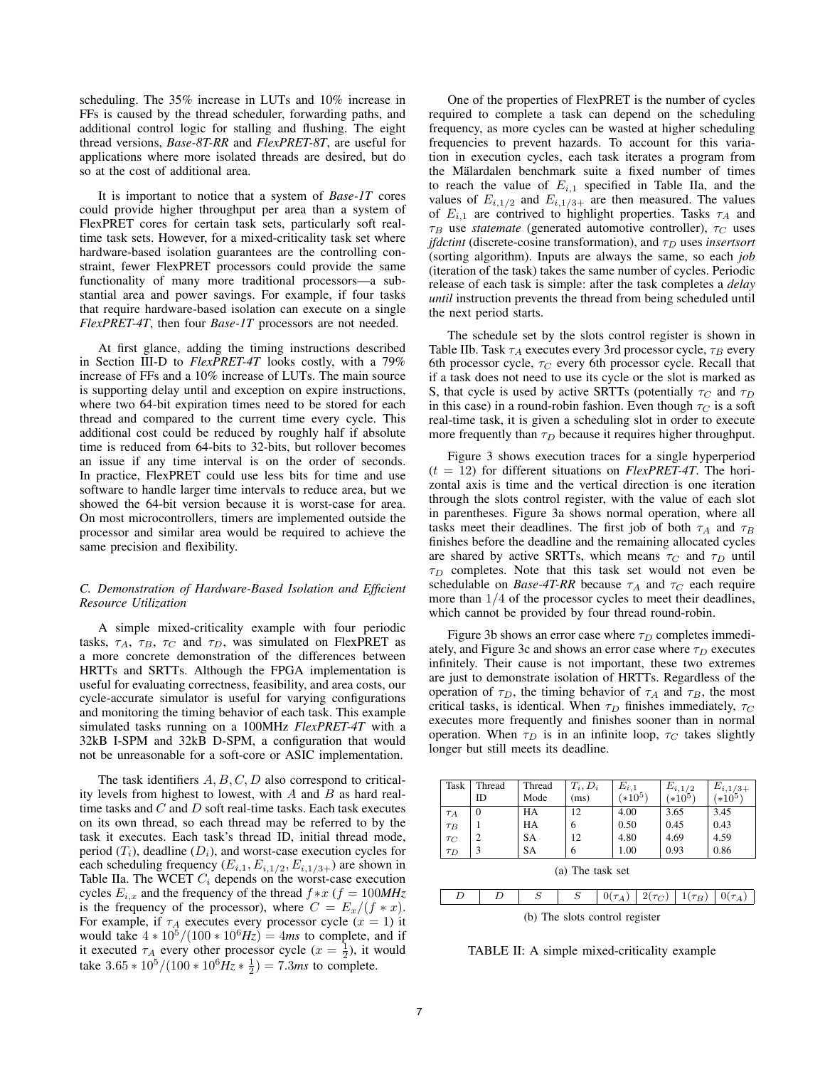scheduling. The 35% increase in LUTs and 10% increase in FFs is caused by the thread scheduler, forwarding paths, and additional control logic for stalling and flushing. The eight thread versions, *Base-8T-RR* and *FlexPRET-8T*, are useful for applications where more isolated threads are desired, but do so at the cost of additional area.

It is important to notice that a system of *Base-1T* cores could provide higher throughput per area than a system of FlexPRET cores for certain task sets, particularly soft realtime task sets. However, for a mixed-criticality task set where hardware-based isolation guarantees are the controlling constraint, fewer FlexPRET processors could provide the same functionality of many more traditional processors—a substantial area and power savings. For example, if four tasks that require hardware-based isolation can execute on a single *FlexPRET-4T*, then four *Base-1T* processors are not needed.

At first glance, adding the timing instructions described in Section III-D to *FlexPRET-4T* looks costly, with a 79% increase of FFs and a 10% increase of LUTs. The main source is supporting delay until and exception on expire instructions, where two 64-bit expiration times need to be stored for each thread and compared to the current time every cycle. This additional cost could be reduced by roughly half if absolute time is reduced from 64-bits to 32-bits, but rollover becomes an issue if any time interval is on the order of seconds. In practice, FlexPRET could use less bits for time and use software to handle larger time intervals to reduce area, but we showed the 64-bit version because it is worst-case for area. On most microcontrollers, timers are implemented outside the processor and similar area would be required to achieve the same precision and flexibility.

# *C. Demonstration of Hardware-Based Isolation and Efficient Resource Utilization*

A simple mixed-criticality example with four periodic tasks,  $\tau_A$ ,  $\tau_B$ ,  $\tau_C$  and  $\tau_D$ , was simulated on FlexPRET as a more concrete demonstration of the differences between HRTTs and SRTTs. Although the FPGA implementation is useful for evaluating correctness, feasibility, and area costs, our cycle-accurate simulator is useful for varying configurations and monitoring the timing behavior of each task. This example simulated tasks running on a 100MHz *FlexPRET-4T* with a 32kB I-SPM and 32kB D-SPM, a configuration that would not be unreasonable for a soft-core or ASIC implementation.

The task identifiers *A, B, C, D* also correspond to criticality levels from highest to lowest, with *A* and *B* as hard realtime tasks and *C* and *D* soft real-time tasks. Each task executes on its own thread, so each thread may be referred to by the task it executes. Each task's thread ID, initial thread mode, period  $(T_i)$ , deadline  $(D_i)$ , and worst-case execution cycles for each scheduling frequency  $(E_{i,1}, E_{i,1/2}, E_{i,1/3+})$  are shown in Table IIa. The WCET *C<sup>i</sup>* depends on the worst-case execution cycles  $E_{i,x}$  and the frequency of the thread  $f * x$  ( $f = 100 MHz$ is the frequency of the processor), where  $C = E_x/(f * x)$ . For example, if  $\tau_A$  executes every processor cycle  $(x = 1)$  it would take  $4 * 10^5 / (100 * 10^6 Hz) = 4$ *ms* to complete, and if it executed  $\tau_A$  every other processor cycle  $(x = \frac{1}{2})$ , it would take  $3.65 * 10^5 / (100 * 10^6 Hz * \frac{1}{2}) = 7.3 ms$  to complete.

One of the properties of FlexPRET is the number of cycles required to complete a task can depend on the scheduling frequency, as more cycles can be wasted at higher scheduling frequencies to prevent hazards. To account for this variation in execution cycles, each task iterates a program from the Mälardalen benchmark suite a fixed number of times to reach the value of  $E_{i,1}$  specified in Table IIa, and the values of  $E_{i,1/2}$  and  $E_{i,1/3+}$  are then measured. The values of  $E_{i,1}$  are contrived to highlight properties. Tasks  $\tau_A$  and  $\tau_B$  use *statemate* (generated automotive controller),  $\tau_C$  uses *jfdctint* (discrete-cosine transformation), and  $\tau_D$  uses *insertsort* (sorting algorithm). Inputs are always the same, so each *job* (iteration of the task) takes the same number of cycles. Periodic release of each task is simple: after the task completes a *delay until* instruction prevents the thread from being scheduled until the next period starts.

The schedule set by the slots control register is shown in Table IIb. Task  $\tau_A$  executes every 3rd processor cycle,  $\tau_B$  every 6th processor cycle,  $\tau_C$  every 6th processor cycle. Recall that if a task does not need to use its cycle or the slot is marked as S, that cycle is used by active SRTTs (potentially  $\tau_C$  and  $\tau_D$ in this case) in a round-robin fashion. Even though  $\tau_C$  is a soft real-time task, it is given a scheduling slot in order to execute more frequently than  $\tau_D$  because it requires higher throughput.

Figure 3 shows execution traces for a single hyperperiod  $(t = 12)$  for different situations on *FlexPRET-4T*. The horizontal axis is time and the vertical direction is one iteration through the slots control register, with the value of each slot in parentheses. Figure 3a shows normal operation, where all tasks meet their deadlines. The first job of both  $\tau_A$  and  $\tau_B$ finishes before the deadline and the remaining allocated cycles are shared by active SRTTs, which means  $\tau_C$  and  $\tau_D$  until  $\tau_D$  completes. Note that this task set would not even be schedulable on *Base-4T-RR* because  $\tau_A$  and  $\tau_C$  each require more than  $1/4$  of the processor cycles to meet their deadlines, which cannot be provided by four thread round-robin.

Figure 3b shows an error case where  $\tau_D$  completes immediately, and Figure 3c and shows an error case where  $\tau_D$  executes infinitely. Their cause is not important, these two extremes are just to demonstrate isolation of HRTTs. Regardless of the operation of  $\tau_D$ , the timing behavior of  $\tau_A$  and  $\tau_B$ , the most critical tasks, is identical. When  $\tau_D$  finishes immediately,  $\tau_C$ executes more frequently and finishes sooner than in normal operation. When  $\tau_D$  is in an infinite loop,  $\tau_C$  takes slightly longer but still meets its deadline.

| Task     | Thread<br>ID | Thread<br>Mode | $T_i, D_i$<br>(ms) | $E_{i,1}$<br>$(*10^5)$ | $E_{i,1/2}$<br>$*10^5$ | $E_{i-1}$<br>$*10^5$ |
|----------|--------------|----------------|--------------------|------------------------|------------------------|----------------------|
| $\tau_A$ | 0            | HА             | 12                 | 4.00                   | 3.65                   | 3.45                 |
| $\tau_B$ |              | HA             | 6                  | 0.50                   | 0.45                   | 0.43                 |
| $\tau_C$ |              | SА             | 12                 | 4.80                   | 4.69                   | 4.59                 |
| $\tau_D$ |              | SА             | 6                  | 1.00                   | 0.93                   | 0.86                 |
|          |              |                |                    |                        |                        |                      |

| $\begin{array}{cc} & D \end{array}$ |  |  |  |  |
|-------------------------------------|--|--|--|--|
|                                     |  |  |  |  |

(b) The slots control register

(a) The task set

TABLE II: A simple mixed-criticality example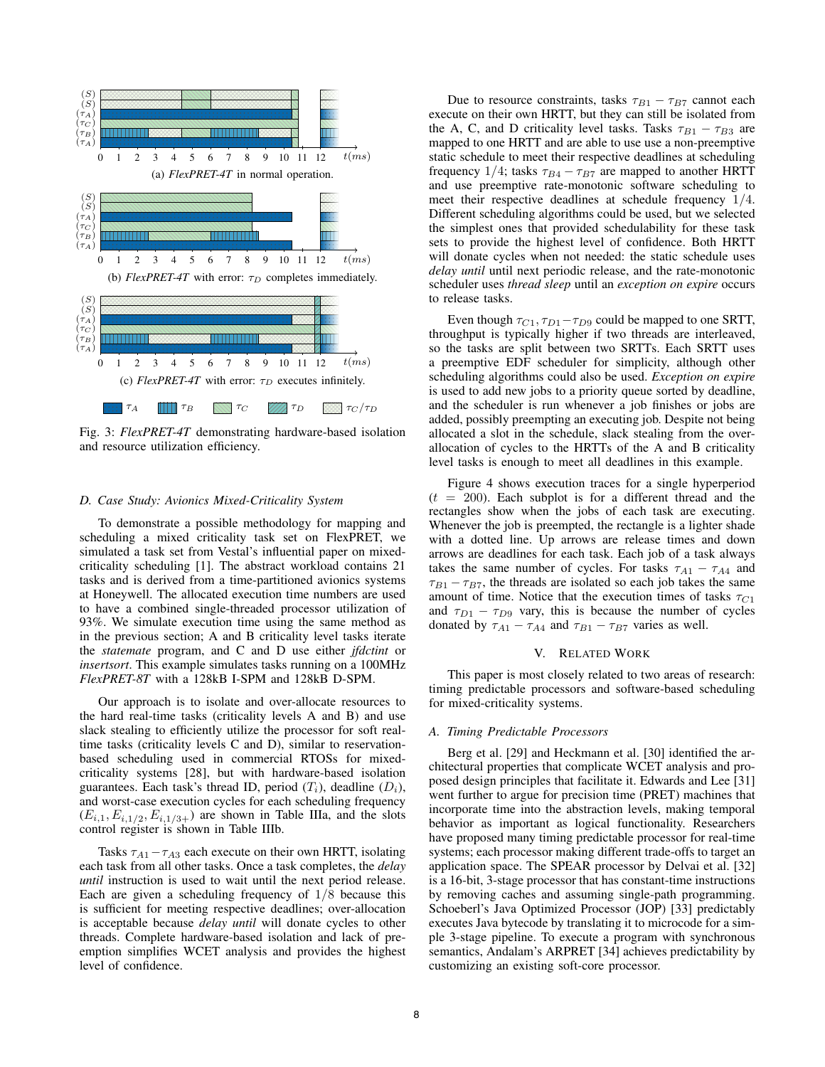

Fig. 3: *FlexPRET-4T* demonstrating hardware-based isolation and resource utilization efficiency.

#### *D. Case Study: Avionics Mixed-Criticality System*

To demonstrate a possible methodology for mapping and scheduling a mixed criticality task set on FlexPRET, we simulated a task set from Vestal's influential paper on mixedcriticality scheduling [1]. The abstract workload contains 21 tasks and is derived from a time-partitioned avionics systems at Honeywell. The allocated execution time numbers are used to have a combined single-threaded processor utilization of 93%. We simulate execution time using the same method as in the previous section; A and B criticality level tasks iterate the *statemate* program, and C and D use either *jfdctint* or *insertsort*. This example simulates tasks running on a 100MHz *FlexPRET-8T* with a 128kB I-SPM and 128kB D-SPM.

Our approach is to isolate and over-allocate resources to the hard real-time tasks (criticality levels A and B) and use slack stealing to efficiently utilize the processor for soft realtime tasks (criticality levels C and D), similar to reservationbased scheduling used in commercial RTOSs for mixedcriticality systems [28], but with hardware-based isolation guarantees. Each task's thread ID, period  $(T_i)$ , deadline  $(D_i)$ , and worst-case execution cycles for each scheduling frequency  $(E_{i,1}, E_{i,1/2}, E_{i,1/3+})$  are shown in Table IIIa, and the slots control register is shown in Table IIIb.

Tasks  $\tau_{A1} - \tau_{A3}$  each execute on their own HRTT, isolating each task from all other tasks. Once a task completes, the *delay until* instruction is used to wait until the next period release. Each are given a scheduling frequency of 1*/*8 because this is sufficient for meeting respective deadlines; over-allocation is acceptable because *delay until* will donate cycles to other threads. Complete hardware-based isolation and lack of preemption simplifies WCET analysis and provides the highest level of confidence.

Due to resource constraints, tasks  $\tau_{B1} - \tau_{B7}$  cannot each execute on their own HRTT, but they can still be isolated from the A, C, and D criticality level tasks. Tasks  $\tau_{B1} - \tau_{B3}$  are mapped to one HRTT and are able to use use a non-preemptive static schedule to meet their respective deadlines at scheduling frequency  $1/4$ ; tasks  $\tau_{B4} - \tau_{B7}$  are mapped to another HRTT and use preemptive rate-monotonic software scheduling to meet their respective deadlines at schedule frequency 1*/*4. Different scheduling algorithms could be used, but we selected the simplest ones that provided schedulability for these task sets to provide the highest level of confidence. Both HRTT will donate cycles when not needed: the static schedule uses *delay until* until next periodic release, and the rate-monotonic scheduler uses *thread sleep* until an *exception on expire* occurs to release tasks.

Even though  $\tau_{C1}, \tau_{D1} - \tau_{D9}$  could be mapped to one SRTT, throughput is typically higher if two threads are interleaved, so the tasks are split between two SRTTs. Each SRTT uses a preemptive EDF scheduler for simplicity, although other scheduling algorithms could also be used. *Exception on expire* is used to add new jobs to a priority queue sorted by deadline, and the scheduler is run whenever a job finishes or jobs are added, possibly preempting an executing job. Despite not being allocated a slot in the schedule, slack stealing from the overallocation of cycles to the HRTTs of the A and B criticality level tasks is enough to meet all deadlines in this example.

Figure 4 shows execution traces for a single hyperperiod  $(t = 200)$ . Each subplot is for a different thread and the rectangles show when the jobs of each task are executing. Whenever the job is preempted, the rectangle is a lighter shade with a dotted line. Up arrows are release times and down arrows are deadlines for each task. Each job of a task always takes the same number of cycles. For tasks  $\tau_{A1} - \tau_{A4}$  and  $\tau_{B1} - \tau_{B7}$ , the threads are isolated so each job takes the same amount of time. Notice that the execution times of tasks  $\tau_{C1}$ and  $\tau_{D1} - \tau_{D9}$  vary, this is because the number of cycles donated by  $\tau_{A1} - \tau_{A4}$  and  $\tau_{B1} - \tau_{B7}$  varies as well.

# V. RELATED WORK

This paper is most closely related to two areas of research: timing predictable processors and software-based scheduling for mixed-criticality systems.

#### *A. Timing Predictable Processors*

Berg et al. [29] and Heckmann et al. [30] identified the architectural properties that complicate WCET analysis and proposed design principles that facilitate it. Edwards and Lee [31] went further to argue for precision time (PRET) machines that incorporate time into the abstraction levels, making temporal behavior as important as logical functionality. Researchers have proposed many timing predictable processor for real-time systems; each processor making different trade-offs to target an application space. The SPEAR processor by Delvai et al. [32] is a 16-bit, 3-stage processor that has constant-time instructions by removing caches and assuming single-path programming. Schoeberl's Java Optimized Processor (JOP) [33] predictably executes Java bytecode by translating it to microcode for a simple 3-stage pipeline. To execute a program with synchronous semantics, Andalam's ARPRET [34] achieves predictability by customizing an existing soft-core processor.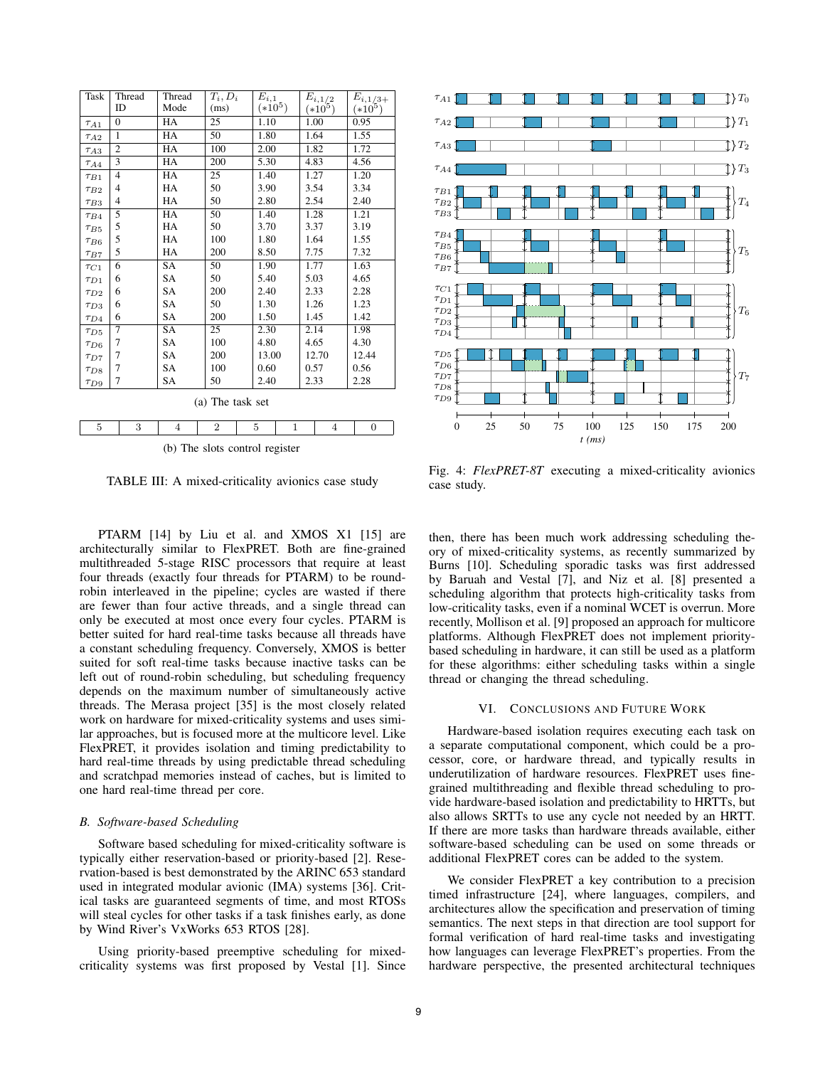| Task             | Thread                         | Thread         | $T_i, D_i$     | $E_{i,1}$         | $E_{i,1/2}$ | $E_{i,1/3+}$<br>(*10 <sup>5</sup> ) |  |  |
|------------------|--------------------------------|----------------|----------------|-------------------|-------------|-------------------------------------|--|--|
|                  | ID                             | Mode           | (ms)           | $(*10^5)$         | $(*10^5)$   |                                     |  |  |
| $\tau_{A1}$      | $\mathbf{0}$                   | <b>HA</b>      | 25             | 1.10              | 1.00        | 0.95                                |  |  |
| $\tau_{A2}$      | 1                              | HA             | 50             | 1.80              | 1.64        | 1.55                                |  |  |
| $\tau_{A3}$      | 2                              | HA             | 100            | 2.00              | 1.82        | 1.72                                |  |  |
| $\tau_{A4}$      | 3                              | <b>HA</b>      | 200            | 5.30              | 4.83        | 4.56                                |  |  |
| $\tau_{B1}$      | $\overline{4}$                 | HA             | 25             | 1.40              | 1.27        | 1.20                                |  |  |
| $\tau_{B2}$      | 4                              | HA             | 50             | 3.90              | 3.54        | 3.34                                |  |  |
| $\tau_{B3}$      | 4                              | HA             | 50             | 2.80              | 2.54        | 2.40                                |  |  |
| $\tau_{B4}$      | 5                              | HA             | 50             | 1.40              | 1.28        | 1.21                                |  |  |
| $\tau_{B5}$      | 5                              | HA             | 50             | 3.70              | 3.37        | 3.19                                |  |  |
| $\tau_{B6}$      | 5                              | HA             | 100            | 1.80              | 1.64        | 1.55                                |  |  |
| $\tau_{B7}$      | 5                              | HA             | 200            | 8.50              | 7.75        | 7.32                                |  |  |
| $\tau_{C1}$      | 6                              | <b>SA</b>      | 50             | 1.90              | 1.77        | 1.63                                |  |  |
| $\tau_{D1}$      | 6                              | SA             | 50             | 5.40              | 5.03        | 4.65                                |  |  |
| $\tau_{D2}$      | 6                              | <b>SA</b>      | 200            | 2.40              | 2.33        | 2.28                                |  |  |
| $\tau_{D3}$      | 6                              | <b>SA</b>      | 50             | 1.30              | 1.26        | 1.23                                |  |  |
| $\tau_{D4}$      | 6                              | SA             | 200            | 1.50              | 1.45        | 1.42                                |  |  |
| $\tau_{D5}$      | 7                              | SA             | 25             | 2.30              | 2.14        | 1.98                                |  |  |
| $\tau_{D6}$      | 7                              | SA             | 100            | 4.80              | 4.65        | 4.30                                |  |  |
| $\tau_{D7}$      | 7                              | <b>SA</b>      | 200            | 13.00             | 12.70       | 12.44                               |  |  |
| $\tau_{D8}$      | 7                              | SA             | 100            | 0.60              | 0.57        | 0.56                                |  |  |
| $\tau_{D9}$      | 7                              | <b>SA</b>      | 50             | 2.40              | 2.33        | 2.28                                |  |  |
| (a) The task set |                                |                |                |                   |             |                                     |  |  |
| 5                | 3                              | $\overline{4}$ | $\overline{2}$ | 5<br>$\mathbf{1}$ | 4           | $\theta$                            |  |  |
|                  | (b) The slots control register |                |                |                   |             |                                     |  |  |

TABLE III: A mixed-criticality avionics case study

PTARM [14] by Liu et al. and XMOS X1 [15] are architecturally similar to FlexPRET. Both are fine-grained multithreaded 5-stage RISC processors that require at least four threads (exactly four threads for PTARM) to be roundrobin interleaved in the pipeline; cycles are wasted if there are fewer than four active threads, and a single thread can only be executed at most once every four cycles. PTARM is better suited for hard real-time tasks because all threads have a constant scheduling frequency. Conversely, XMOS is better suited for soft real-time tasks because inactive tasks can be left out of round-robin scheduling, but scheduling frequency depends on the maximum number of simultaneously active threads. The Merasa project [35] is the most closely related work on hardware for mixed-criticality systems and uses similar approaches, but is focused more at the multicore level. Like FlexPRET, it provides isolation and timing predictability to hard real-time threads by using predictable thread scheduling and scratchpad memories instead of caches, but is limited to one hard real-time thread per core.

# *B. Software-based Scheduling*

Software based scheduling for mixed-criticality software is typically either reservation-based or priority-based [2]. Reservation-based is best demonstrated by the ARINC 653 standard used in integrated modular avionic (IMA) systems [36]. Critical tasks are guaranteed segments of time, and most RTOSs will steal cycles for other tasks if a task finishes early, as done by Wind River's VxWorks 653 RTOS [28].

Using priority-based preemptive scheduling for mixedcriticality systems was first proposed by Vestal [1]. Since



Fig. 4: *FlexPRET-8T* executing a mixed-criticality avionics case study.

then, there has been much work addressing scheduling theory of mixed-criticality systems, as recently summarized by Burns [10]. Scheduling sporadic tasks was first addressed by Baruah and Vestal [7], and Niz et al. [8] presented a scheduling algorithm that protects high-criticality tasks from low-criticality tasks, even if a nominal WCET is overrun. More recently, Mollison et al. [9] proposed an approach for multicore platforms. Although FlexPRET does not implement prioritybased scheduling in hardware, it can still be used as a platform for these algorithms: either scheduling tasks within a single thread or changing the thread scheduling.

# VI. CONCLUSIONS AND FUTURE WORK

Hardware-based isolation requires executing each task on a separate computational component, which could be a processor, core, or hardware thread, and typically results in underutilization of hardware resources. FlexPRET uses finegrained multithreading and flexible thread scheduling to provide hardware-based isolation and predictability to HRTTs, but also allows SRTTs to use any cycle not needed by an HRTT. If there are more tasks than hardware threads available, either software-based scheduling can be used on some threads or additional FlexPRET cores can be added to the system.

We consider FlexPRET a key contribution to a precision timed infrastructure [24], where languages, compilers, and architectures allow the specification and preservation of timing semantics. The next steps in that direction are tool support for formal verification of hard real-time tasks and investigating how languages can leverage FlexPRET's properties. From the hardware perspective, the presented architectural techniques